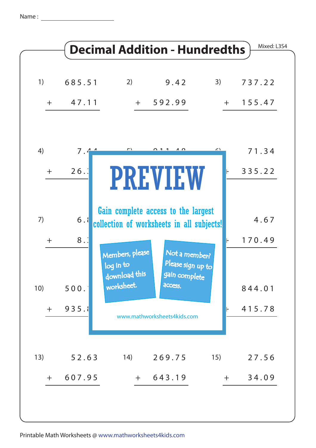Name : <u>\_\_\_\_</u>